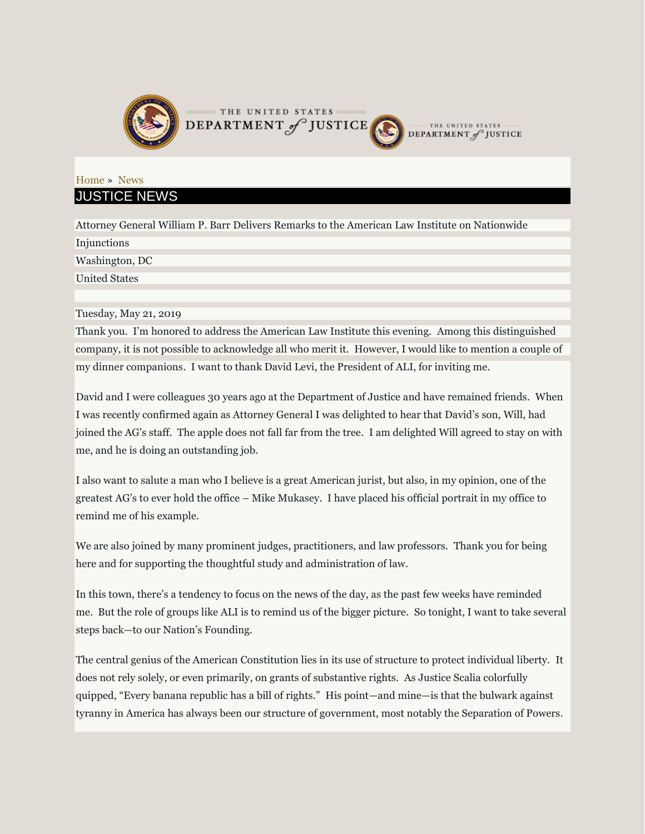

## [Home](file:///C:/front) » [News](file:///C:/opa/speech) JUSTICE NEWS

Attorney General William P. Barr Delivers Remarks to the American Law Institute on Nationwide Injunctions Washington, DC United States

Tuesday, May 21, 2019

Thank you. I'm honored to address the American Law Institute this evening. Among this distinguished company, it is not possible to acknowledge all who merit it. However, I would like to mention a couple of my dinner companions. I want to thank David Levi, the President of ALI, for inviting me.

David and I were colleagues 30 years ago at the Department of Justice and have remained friends. When I was recently confirmed again as Attorney General I was delighted to hear that David's son, Will, had joined the AG's staff. The apple does not fall far from the tree. I am delighted Will agreed to stay on with me, and he is doing an outstanding job.

I also want to salute a man who I believe is a great American jurist, but also, in my opinion, one of the greatest AG's to ever hold the office – Mike Mukasey. I have placed his official portrait in my office to remind me of his example.

We are also joined by many prominent judges, practitioners, and law professors. Thank you for being here and for supporting the thoughtful study and administration of law.

In this town, there's a tendency to focus on the news of the day, as the past few weeks have reminded me. But the role of groups like ALI is to remind us of the bigger picture. So tonight, I want to take several steps back—to our Nation's Founding.

The central genius of the American Constitution lies in its use of structure to protect individual liberty. It does not rely solely, or even primarily, on grants of substantive rights. As Justice Scalia colorfully quipped, "Every banana republic has a bill of rights." His point—and mine—is that the bulwark against tyranny in America has always been our structure of government, most notably the Separation of Powers.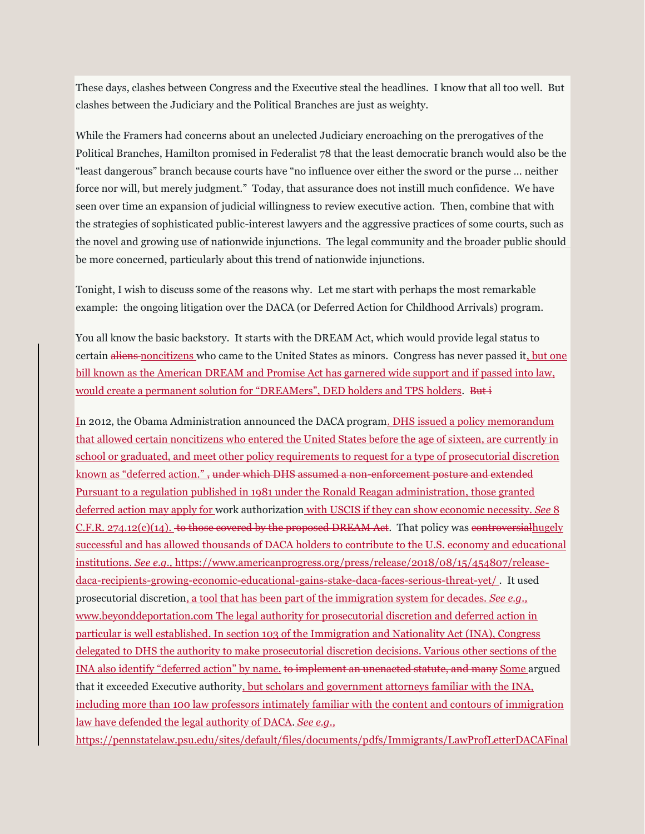These days, clashes between Congress and the Executive steal the headlines. I know that all too well. But clashes between the Judiciary and the Political Branches are just as weighty.

While the Framers had concerns about an unelected Judiciary encroaching on the prerogatives of the Political Branches, Hamilton promised in Federalist 78 that the least democratic branch would also be the "least dangerous" branch because courts have "no influence over either the sword or the purse … neither force nor will, but merely judgment." Today, that assurance does not instill much confidence. We have seen over time an expansion of judicial willingness to review executive action. Then, combine that with the strategies of sophisticated public-interest lawyers and the aggressive practices of some courts, such as the novel and growing use of nationwide injunctions. The legal community and the broader public should be more concerned, particularly about this trend of nationwide injunctions.

Tonight, I wish to discuss some of the reasons why. Let me start with perhaps the most remarkable example: the ongoing litigation over the DACA (or Deferred Action for Childhood Arrivals) program.

You all know the basic backstory. It starts with the DREAM Act, which would provide legal status to certain aliens noncitizens who came to the United States as minors. Congress has never passed it, but one bill known as the American DREAM and Promise Act has garnered wide support and if passed into law, would create a permanent solution for "DREAMers", DED holders and TPS holders. But i

In 2012, the Obama Administration announced the DACA program. DHS issued a policy memorandum that allowed certain noncitizens who entered the United States before the age of sixteen, are currently in school or graduated, and meet other policy requirements to request for a type of prosecutorial discretion known as "deferred action." , under which DHS assumed a non-enforcement posture and extended Pursuant to a regulation published in 1981 under the Ronald Reagan administration, those granted deferred action may apply for work authorization with USCIS if they can show economic necessity. *See* 8  $C.F.R. 274.12(c)(14)$ . to those covered by the proposed DREAM Act. That policy was controversialhugely successful and has allowed thousands of DACA holders to contribute to the U.S. economy and educational institutions. *See e.g.,* [https://www.americanprogress.org/press/release/2018/08/15/454807/release](https://www.americanprogress.org/press/release/2018/08/15/454807/release-daca-recipients-growing-economic-educational-gains-stake-daca-faces-serious-threat-yet/)[daca-recipients-growing-economic-educational-gains-stake-daca-faces-serious-threat-yet/](https://www.americanprogress.org/press/release/2018/08/15/454807/release-daca-recipients-growing-economic-educational-gains-stake-daca-faces-serious-threat-yet/) . It used prosecutorial discretion, a tool that has been part of the immigration system for decades. *See e.g.,*  www.beyonddeportation.com The legal authority for prosecutorial discretion and deferred action in particular is well established. In section 103 of the Immigration and Nationality Act (INA), Congress delegated to DHS the authority to make prosecutorial discretion decisions. Various other sections of the INA also identify "deferred action" by name. to implement an unenacted statute, and many Some argued that it exceeded Executive authority, but scholars and government attorneys familiar with the INA, including more than 100 law professors intimately familiar with the content and contours of immigration law have defended the legal authority of DACA. *See e.g.,* 

https://pennstatelaw.psu.edu/sites/default/files/documents/pdfs/Immigrants/LawProfLetterDACAFinal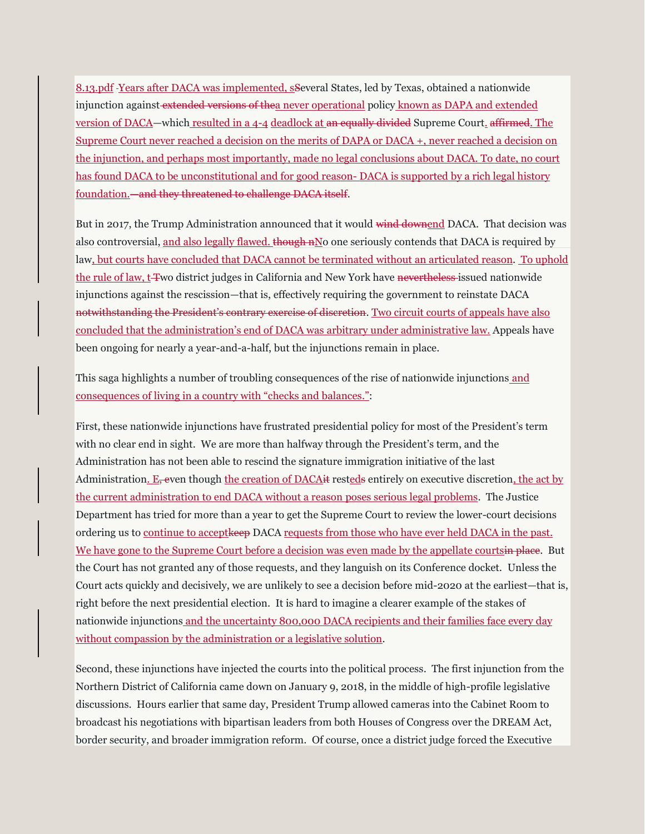8.13.pdf Years after DACA was implemented, sSeveral States, led by Texas, obtained a nationwide injunction against extended versions of thea never operational policy known as DAPA and extended version of DACA—which resulted in a 4-4 deadlock at an equally divided Supreme Court. affirmed. The Supreme Court never reached a decision on the merits of DAPA or DACA +, never reached a decision on the injunction, and perhaps most importantly, made no legal conclusions about DACA. To date, no court has found DACA to be unconstitutional and for good reason- DACA is supported by a rich legal history foundation.—and they threatened to challenge DACA itself.

But in 2017, the Trump Administration announced that it would wind downend DACA. That decision was also controversial, and also legally flawed. though nNo one seriously contends that DACA is required by law, but courts have concluded that DACA cannot be terminated without an articulated reason. To uphold the rule of law, t-Two district judges in California and New York have nevertheless-issued nationwide injunctions against the rescission—that is, effectively requiring the government to reinstate DACA notwithstanding the President's contrary exercise of discretion. Two circuit courts of appeals have also concluded that the administration's end of DACA was arbitrary under administrative law. Appeals have been ongoing for nearly a year-and-a-half, but the injunctions remain in place.

This saga highlights a number of troubling consequences of the rise of nationwide injunctions and consequences of living in a country with "checks and balances.":

First, these nationwide injunctions have frustrated presidential policy for most of the President's term with no clear end in sight. We are more than halfway through the President's term, and the Administration has not been able to rescind the signature immigration initiative of the last Administration.  $E_7$  even though the creation of DACA it resteds entirely on executive discretion, the act by the current administration to end DACA without a reason poses serious legal problems. The Justice Department has tried for more than a year to get the Supreme Court to review the lower-court decisions ordering us to continue to acceptkeep DACA requests from those who have ever held DACA in the past. We have gone to the Supreme Court before a decision was even made by the appellate courtsin place. But the Court has not granted any of those requests, and they languish on its Conference docket. Unless the Court acts quickly and decisively, we are unlikely to see a decision before mid-2020 at the earliest—that is, right before the next presidential election. It is hard to imagine a clearer example of the stakes of nationwide injunctions and the uncertainty 800,000 DACA recipients and their families face every day without compassion by the administration or a legislative solution.

Second, these injunctions have injected the courts into the political process. The first injunction from the Northern District of California came down on January 9, 2018, in the middle of high-profile legislative discussions. Hours earlier that same day, President Trump allowed cameras into the Cabinet Room to broadcast his negotiations with bipartisan leaders from both Houses of Congress over the DREAM Act, border security, and broader immigration reform. Of course, once a district judge forced the Executive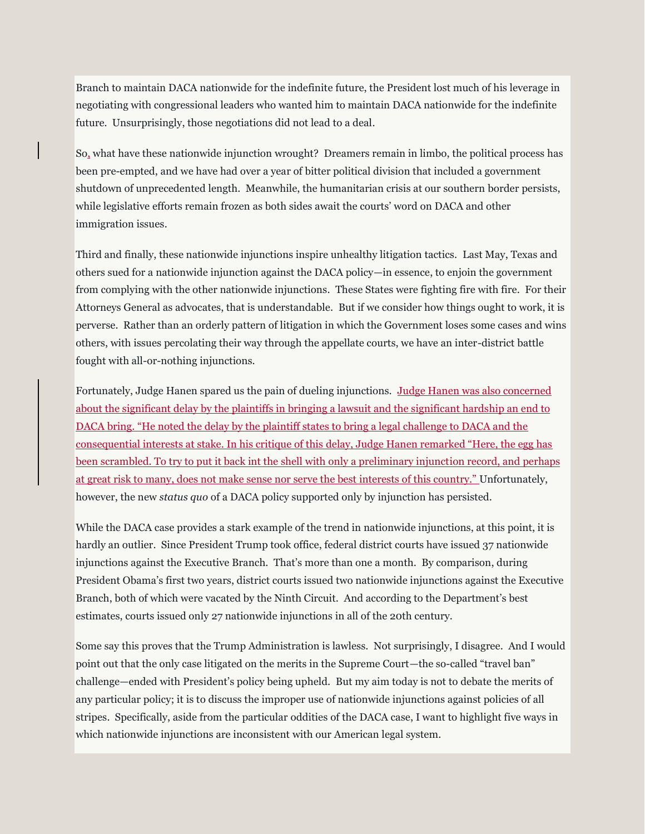Branch to maintain DACA nationwide for the indefinite future, the President lost much of his leverage in negotiating with congressional leaders who wanted him to maintain DACA nationwide for the indefinite future. Unsurprisingly, those negotiations did not lead to a deal.

So, what have these nationwide injunction wrought? Dreamers remain in limbo, the political process has been pre-empted, and we have had over a year of bitter political division that included a government shutdown of unprecedented length. Meanwhile, the humanitarian crisis at our southern border persists, while legislative efforts remain frozen as both sides await the courts' word on DACA and other immigration issues.

Third and finally, these nationwide injunctions inspire unhealthy litigation tactics. Last May, Texas and others sued for a nationwide injunction against the DACA policy—in essence, to enjoin the government from complying with the other nationwide injunctions. These States were fighting fire with fire. For their Attorneys General as advocates, that is understandable. But if we consider how things ought to work, it is perverse. Rather than an orderly pattern of litigation in which the Government loses some cases and wins others, with issues percolating their way through the appellate courts, we have an inter-district battle fought with all-or-nothing injunctions.

Fortunately, Judge Hanen spared us the pain of dueling injunctions. Judge Hanen was also concerned about the significant delay by the plaintiffs in bringing a lawsuit and the significant hardship an end to DACA bring. "He noted the delay by the plaintiff states to bring a legal challenge to DACA and the consequential interests at stake. In his critique of this delay, Judge Hanen remarked "Here, the egg has been scrambled. To try to put it back int the shell with only a preliminary injunction record, and perhaps at great risk to many, does not make sense nor serve the best interests of this country." Unfortunately, however, the new *status quo* of a DACA policy supported only by injunction has persisted.

While the DACA case provides a stark example of the trend in nationwide injunctions, at this point, it is hardly an outlier. Since President Trump took office, federal district courts have issued 37 nationwide injunctions against the Executive Branch. That's more than one a month. By comparison, during President Obama's first two years, district courts issued two nationwide injunctions against the Executive Branch, both of which were vacated by the Ninth Circuit. And according to the Department's best estimates, courts issued only 27 nationwide injunctions in all of the 20th century.

Some say this proves that the Trump Administration is lawless. Not surprisingly, I disagree. And I would point out that the only case litigated on the merits in the Supreme Court—the so-called "travel ban" challenge—ended with President's policy being upheld. But my aim today is not to debate the merits of any particular policy; it is to discuss the improper use of nationwide injunctions against policies of all stripes. Specifically, aside from the particular oddities of the DACA case, I want to highlight five ways in which nationwide injunctions are inconsistent with our American legal system.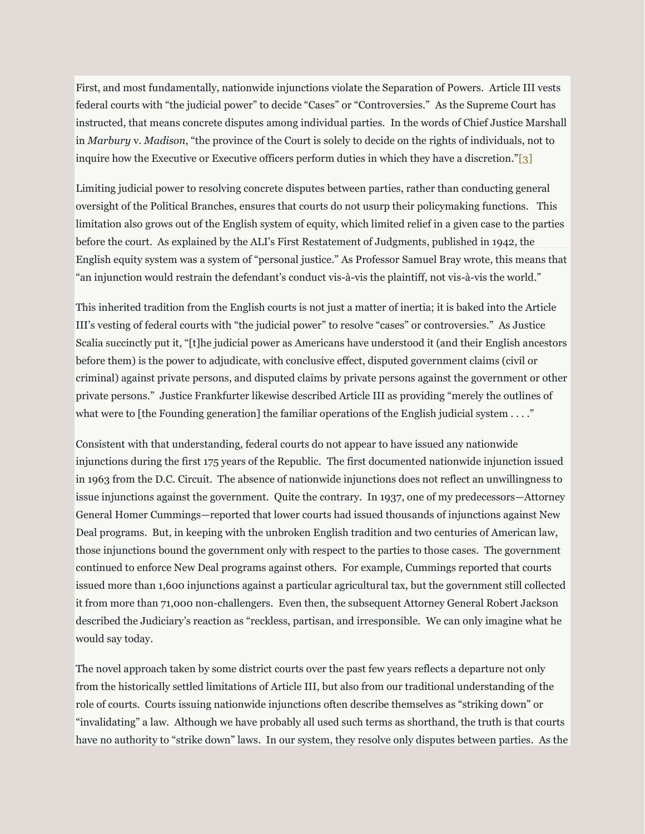First, and most fundamentally, nationwide injunctions violate the Separation of Powers. Article III vests federal courts with "the judicial power" to decide "Cases" or "Controversies." As the Supreme Court has instructed, that means concrete disputes among individual parties. In the words of Chief Justice Marshall in *Marbury* v. *Madison*, "the province of the Court is solely to decide on the rights of individuals, not to inquire how the Executive or Executive officers perform duties in which they have a discretion."[3]

Limiting judicial power to resolving concrete disputes between parties, rather than conducting general oversight of the Political Branches, ensures that courts do not usurp their policymaking functions. This limitation also grows out of the English system of equity, which limited relief in a given case to the parties before the court. As explained by the ALI's First Restatement of Judgments, published in 1942, the English equity system was a system of "personal justice." As Professor Samuel Bray wrote, this means that "an injunction would restrain the defendant's conduct vis-à-vis the plaintiff, not vis-à-vis the world."

This inherited tradition from the English courts is not just a matter of inertia; it is baked into the Article III's vesting of federal courts with "the judicial power" to resolve "cases" or controversies." As Justice Scalia succinctly put it, "[t]he judicial power as Americans have understood it (and their English ancestors before them) is the power to adjudicate, with conclusive effect, disputed government claims (civil or criminal) against private persons, and disputed claims by private persons against the government or other private persons." Justice Frankfurter likewise described Article III as providing "merely the outlines of what were to [the Founding generation] the familiar operations of the English judicial system  $\dots$ ."

Consistent with that understanding, federal courts do not appear to have issued any nationwide injunctions during the first 175 years of the Republic. The first documented nationwide injunction issued in 1963 from the D.C. Circuit. The absence of nationwide injunctions does not reflect an unwillingness to issue injunctions against the government. Quite the contrary. In 1937, one of my predecessors—Attorney General Homer Cummings—reported that lower courts had issued thousands of injunctions against New Deal programs. But, in keeping with the unbroken English tradition and two centuries of American law, those injunctions bound the government only with respect to the parties to those cases. The government continued to enforce New Deal programs against others. For example, Cummings reported that courts issued more than 1,600 injunctions against a particular agricultural tax, but the government still collected it from more than 71,000 non-challengers. Even then, the subsequent Attorney General Robert Jackson described the Judiciary's reaction as "reckless, partisan, and irresponsible. We can only imagine what he would say today.

The novel approach taken by some district courts over the past few years reflects a departure not only from the historically settled limitations of Article III, but also from our traditional understanding of the role of courts. Courts issuing nationwide injunctions often describe themselves as "striking down" or "invalidating" a law. Although we have probably all used such terms as shorthand, the truth is that courts have no authority to "strike down" laws. In our system, they resolve only disputes between parties. As the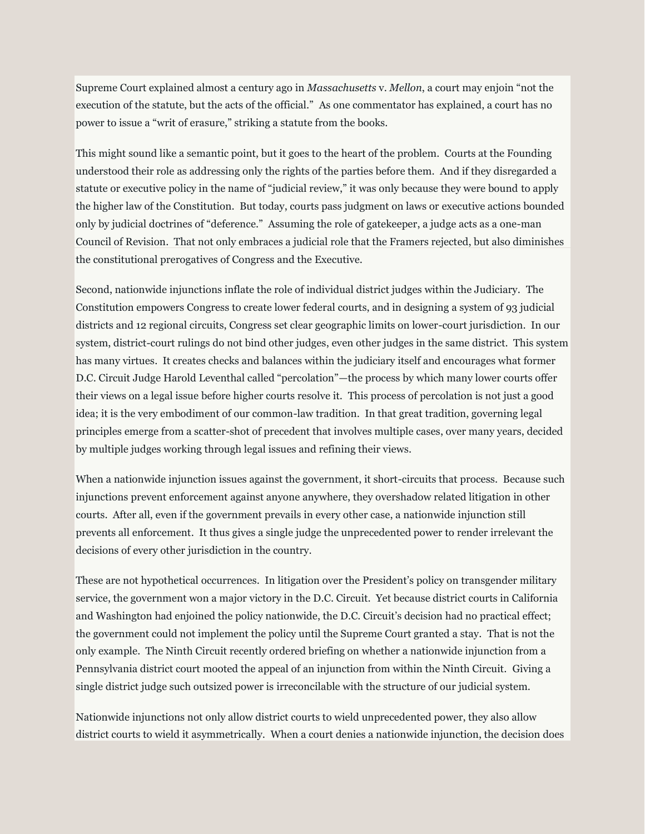Supreme Court explained almost a century ago in *Massachusetts* v. *Mellon*, a court may enjoin "not the execution of the statute, but the acts of the official." As one commentator has explained, a court has no power to issue a "writ of erasure," striking a statute from the books.

This might sound like a semantic point, but it goes to the heart of the problem. Courts at the Founding understood their role as addressing only the rights of the parties before them. And if they disregarded a statute or executive policy in the name of "judicial review," it was only because they were bound to apply the higher law of the Constitution. But today, courts pass judgment on laws or executive actions bounded only by judicial doctrines of "deference." Assuming the role of gatekeeper, a judge acts as a one-man Council of Revision. That not only embraces a judicial role that the Framers rejected, but also diminishes the constitutional prerogatives of Congress and the Executive.

Second, nationwide injunctions inflate the role of individual district judges within the Judiciary. The Constitution empowers Congress to create lower federal courts, and in designing a system of 93 judicial districts and 12 regional circuits, Congress set clear geographic limits on lower-court jurisdiction. In our system, district-court rulings do not bind other judges, even other judges in the same district. This system has many virtues. It creates checks and balances within the judiciary itself and encourages what former D.C. Circuit Judge Harold Leventhal called "percolation"—the process by which many lower courts offer their views on a legal issue before higher courts resolve it. This process of percolation is not just a good idea; it is the very embodiment of our common-law tradition. In that great tradition, governing legal principles emerge from a scatter-shot of precedent that involves multiple cases, over many years, decided by multiple judges working through legal issues and refining their views.

When a nationwide injunction issues against the government, it short-circuits that process. Because such injunctions prevent enforcement against anyone anywhere, they overshadow related litigation in other courts. After all, even if the government prevails in every other case, a nationwide injunction still prevents all enforcement. It thus gives a single judge the unprecedented power to render irrelevant the decisions of every other jurisdiction in the country.

These are not hypothetical occurrences. In litigation over the President's policy on transgender military service, the government won a major victory in the D.C. Circuit. Yet because district courts in California and Washington had enjoined the policy nationwide, the D.C. Circuit's decision had no practical effect; the government could not implement the policy until the Supreme Court granted a stay. That is not the only example. The Ninth Circuit recently ordered briefing on whether a nationwide injunction from a Pennsylvania district court mooted the appeal of an injunction from within the Ninth Circuit. Giving a single district judge such outsized power is irreconcilable with the structure of our judicial system.

Nationwide injunctions not only allow district courts to wield unprecedented power, they also allow district courts to wield it asymmetrically. When a court denies a nationwide injunction, the decision does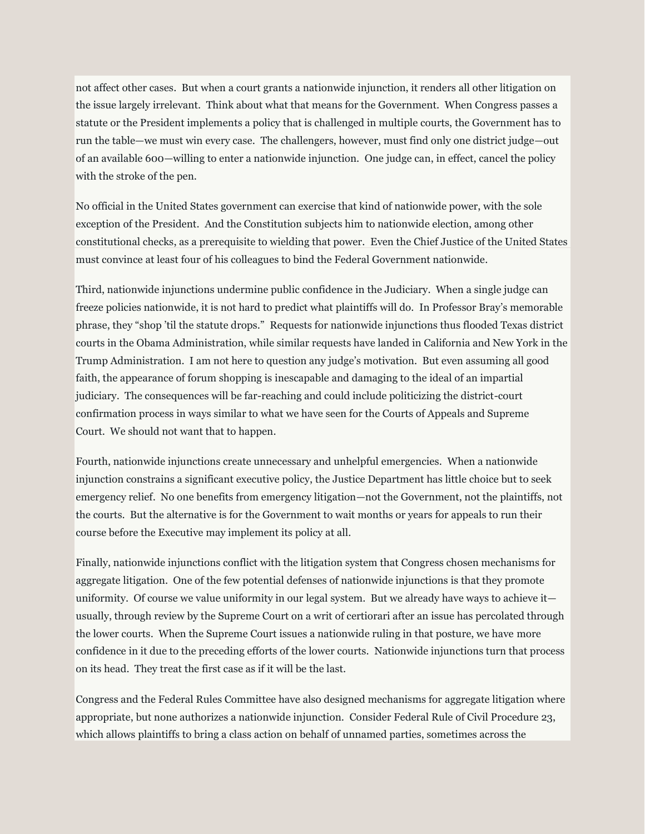not affect other cases. But when a court grants a nationwide injunction, it renders all other litigation on the issue largely irrelevant. Think about what that means for the Government. When Congress passes a statute or the President implements a policy that is challenged in multiple courts, the Government has to run the table—we must win every case. The challengers, however, must find only one district judge—out of an available 600—willing to enter a nationwide injunction. One judge can, in effect, cancel the policy with the stroke of the pen.

No official in the United States government can exercise that kind of nationwide power, with the sole exception of the President. And the Constitution subjects him to nationwide election, among other constitutional checks, as a prerequisite to wielding that power. Even the Chief Justice of the United States must convince at least four of his colleagues to bind the Federal Government nationwide.

Third, nationwide injunctions undermine public confidence in the Judiciary. When a single judge can freeze policies nationwide, it is not hard to predict what plaintiffs will do. In Professor Bray's memorable phrase, they "shop 'til the statute drops." Requests for nationwide injunctions thus flooded Texas district courts in the Obama Administration, while similar requests have landed in California and New York in the Trump Administration. I am not here to question any judge's motivation. But even assuming all good faith, the appearance of forum shopping is inescapable and damaging to the ideal of an impartial judiciary. The consequences will be far-reaching and could include politicizing the district-court confirmation process in ways similar to what we have seen for the Courts of Appeals and Supreme Court. We should not want that to happen.

Fourth, nationwide injunctions create unnecessary and unhelpful emergencies. When a nationwide injunction constrains a significant executive policy, the Justice Department has little choice but to seek emergency relief. No one benefits from emergency litigation—not the Government, not the plaintiffs, not the courts. But the alternative is for the Government to wait months or years for appeals to run their course before the Executive may implement its policy at all.

Finally, nationwide injunctions conflict with the litigation system that Congress chosen mechanisms for aggregate litigation. One of the few potential defenses of nationwide injunctions is that they promote uniformity. Of course we value uniformity in our legal system. But we already have ways to achieve it usually, through review by the Supreme Court on a writ of certiorari after an issue has percolated through the lower courts. When the Supreme Court issues a nationwide ruling in that posture, we have more confidence in it due to the preceding efforts of the lower courts. Nationwide injunctions turn that process on its head. They treat the first case as if it will be the last.

Congress and the Federal Rules Committee have also designed mechanisms for aggregate litigation where appropriate, but none authorizes a nationwide injunction. Consider Federal Rule of Civil Procedure 23, which allows plaintiffs to bring a class action on behalf of unnamed parties, sometimes across the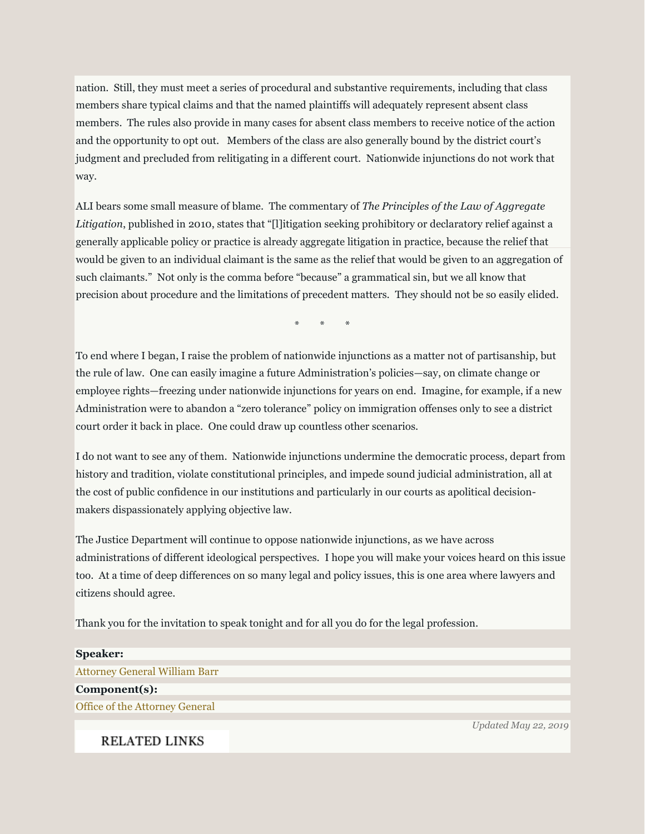nation. Still, they must meet a series of procedural and substantive requirements, including that class members share typical claims and that the named plaintiffs will adequately represent absent class members. The rules also provide in many cases for absent class members to receive notice of the action and the opportunity to opt out. Members of the class are also generally bound by the district court's judgment and precluded from relitigating in a different court. Nationwide injunctions do not work that way.

ALI bears some small measure of blame. The commentary of *The Principles of the Law of Aggregate Litigation*, published in 2010, states that "[l]itigation seeking prohibitory or declaratory relief against a generally applicable policy or practice is already aggregate litigation in practice, because the relief that would be given to an individual claimant is the same as the relief that would be given to an aggregation of such claimants." Not only is the comma before "because" a grammatical sin, but we all know that precision about procedure and the limitations of precedent matters. They should not be so easily elided.

\* \* \*

To end where I began, I raise the problem of nationwide injunctions as a matter not of partisanship, but the rule of law. One can easily imagine a future Administration's policies—say, on climate change or employee rights—freezing under nationwide injunctions for years on end. Imagine, for example, if a new Administration were to abandon a "zero tolerance" policy on immigration offenses only to see a district court order it back in place. One could draw up countless other scenarios.

I do not want to see any of them. Nationwide injunctions undermine the democratic process, depart from history and tradition, violate constitutional principles, and impede sound judicial administration, all at the cost of public confidence in our institutions and particularly in our courts as apolitical decisionmakers dispassionately applying objective law.

The Justice Department will continue to oppose nationwide injunctions, as we have across administrations of different ideological perspectives. I hope you will make your voices heard on this issue too. At a time of deep differences on so many legal and policy issues, this is one area where lawyers and citizens should agree.

Thank you for the invitation to speak tonight and for all you do for the legal profession.

| <b>Speaker:</b>                      |
|--------------------------------------|
|                                      |
| <b>Attorney General William Barr</b> |
|                                      |
| Component(s):                        |
|                                      |
| Office of the Attorney General       |
|                                      |

**RELATED LINKS** 

*Updated May 22, 2019*